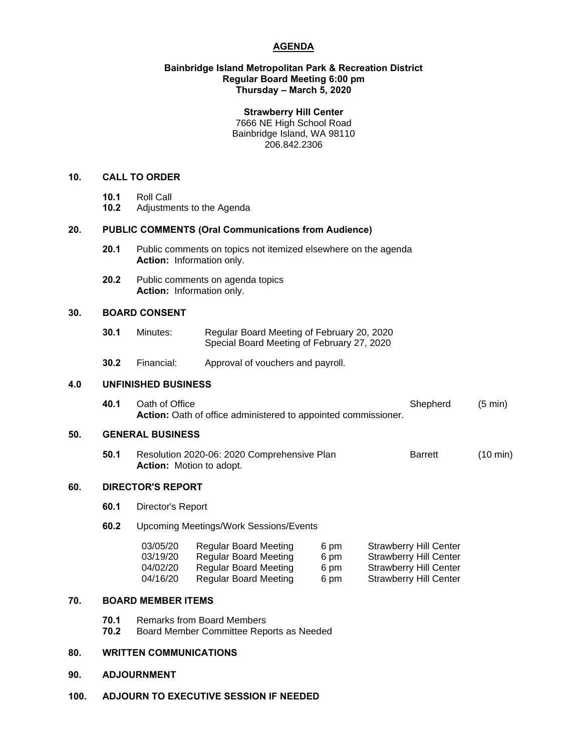# **AGENDA**

## **Bainbridge Island Metropolitan Park & Recreation District Regular Board Meeting 6:00 pm Thursday – March 5, 2020**

#### **Strawberry Hill Center**

7666 NE High School Road Bainbridge Island, WA 98110 206.842.2306

## **10. CALL TO ORDER**

- 
- **10.1** Roll Call **10.2** Adjustments to the Agenda

## **20. PUBLIC COMMENTS (Oral Communications from Audience)**

- **20.1** Public comments on topics not itemized elsewhere on the agenda **Action:** Information only.
- **20.2** Public comments on agenda topics **Action:** Information only.

## **30. BOARD CONSENT**

- **30.1** Minutes: Regular Board Meeting of February 20, 2020 Special Board Meeting of February 27, 2020
- **30.2** Financial: Approval of vouchers and payroll.

## **4.0 UNFINISHED BUSINESS**

**40.1** Oath of Office Shepherd (5 min) **Action:** Oath of office administered to appointed commissioner.

## **50. GENERAL BUSINESS**

**50.1** Resolution 2020-06: 2020 Comprehensive Plan Barrett (10 min) **Action:** Motion to adopt.

# **60. DIRECTOR'S REPORT**

- **60.1** Director's Report
- **60.2** Upcoming Meetings/Work Sessions/Events

| 03/05/20 | <b>Regular Board Meeting</b> | 6 pm | <b>Strawberry Hill Center</b> |
|----------|------------------------------|------|-------------------------------|
| 03/19/20 | <b>Regular Board Meeting</b> | 6 pm | <b>Strawberry Hill Center</b> |
| 04/02/20 | Regular Board Meeting        | 6 pm | <b>Strawberry Hill Center</b> |
| 04/16/20 | Regular Board Meeting        | 6 pm | <b>Strawberry Hill Center</b> |

# **70. BOARD MEMBER ITEMS**

- **70.1** Remarks from Board Members
- **70.2** Board Member Committee Reports as Needed

#### **80. WRITTEN COMMUNICATIONS**

## **90. ADJOURNMENT**

**100. ADJOURN TO EXECUTIVE SESSION IF NEEDED**